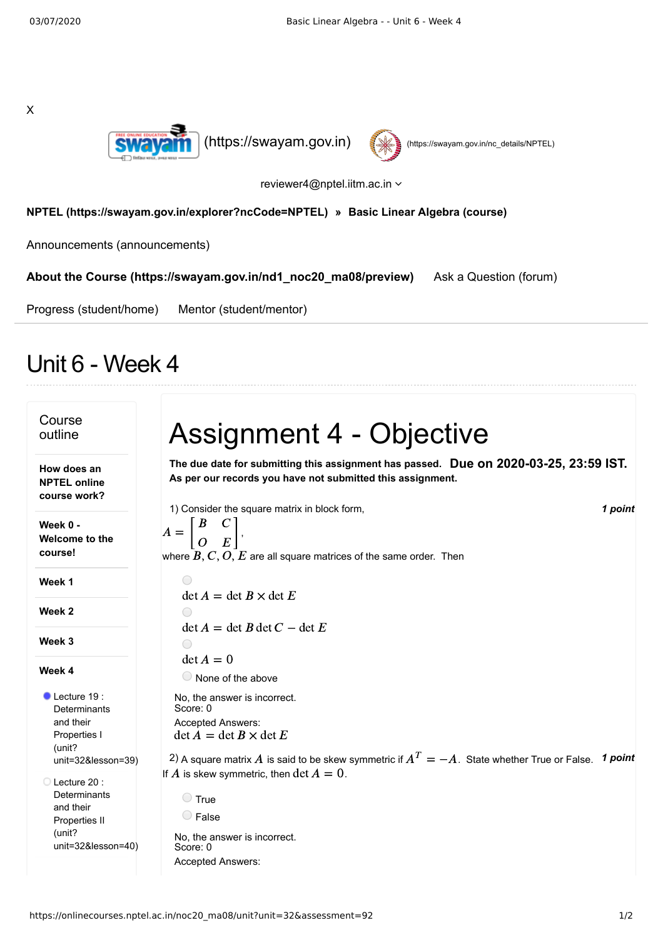X





reviewer4@nptel.iitm.ac.in  $\sim$ 

## **[NPTEL \(https://swayam.gov.in/explorer?ncCode=NPTEL\)](https://swayam.gov.in/explorer?ncCode=NPTEL) » [Basic Linear Algebra \(course\)](https://onlinecourses.nptel.ac.in/noc20_ma08/course)**

[Announcements \(announcements\)](https://onlinecourses.nptel.ac.in/noc20_ma08/announcements)

**[About the Course \(https://swayam.gov.in/nd1\\_noc20\\_ma08/preview\)](https://swayam.gov.in/nd1_noc20_ma08/preview)** [Ask a Question \(forum\)](https://onlinecourses.nptel.ac.in/noc20_ma08/forum)

[Progress \(student/home\)](https://onlinecourses.nptel.ac.in/noc20_ma08/student/home) [Mentor \(student/mentor\)](https://onlinecourses.nptel.ac.in/noc20_ma08/student/mentor)

## Unit 6 - Week 4